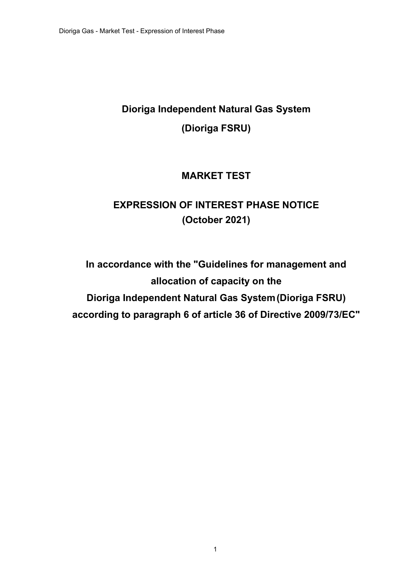# **Dioriga Independent Natural Gas System (Dioriga FSRU)**

## **MARKET TEST**

## **EXPRESSION OF INTEREST PHASE NOTICE (October 2021)**

**In accordance with the "Guidelines for management and allocation of capacity on the Dioriga Independent Natural Gas System (Dioriga FSRU) according to paragraph 6 of article 36 of Directive 2009/73/EC"**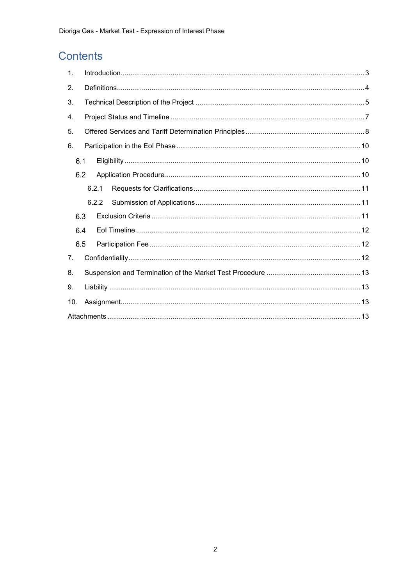## Contents

| $\mathbf{1}$ . |       |       |  |  |  |  |
|----------------|-------|-------|--|--|--|--|
| 2.             |       |       |  |  |  |  |
| 3.             |       |       |  |  |  |  |
| 4.             |       |       |  |  |  |  |
| 5.             |       |       |  |  |  |  |
| 6.             |       |       |  |  |  |  |
| 6.1            |       |       |  |  |  |  |
| 6.2            |       |       |  |  |  |  |
|                | 6.2.1 |       |  |  |  |  |
|                |       | 6.2.2 |  |  |  |  |
| 6.3            |       |       |  |  |  |  |
| 6.4            |       |       |  |  |  |  |
| 6.5            |       |       |  |  |  |  |
| 7 <sub>1</sub> |       |       |  |  |  |  |
| 8.             |       |       |  |  |  |  |
| 9.             |       |       |  |  |  |  |
| 10.            |       |       |  |  |  |  |
|                |       |       |  |  |  |  |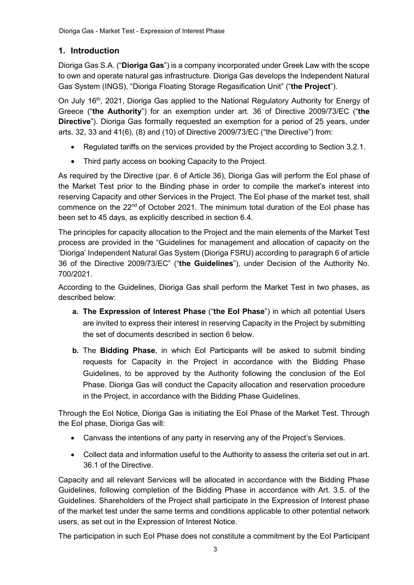## <span id="page-2-0"></span>**1. Introduction**

Dioriga Gas S.A. ("**Dioriga Gas**") is a company incorporated under Greek Law with the scope to own and operate natural gas infrastructure. Dioriga Gas develops the Independent Natural Gas System (INGS), "Dioriga Floating Storage Regasification Unit" ("**the Project**").

On July 16<sup>th</sup>, 2021, Dioriga Gas applied to the National Regulatory Authority for Energy of Greece ("**the Authority**") for an exemption under art. 36 of Directive 2009/73/EC ("**the Directive**"). Dioriga Gas formally requested an exemption for a period of 25 years, under arts. 32, 33 and 41(6), (8) and (10) of Directive 2009/73/EC ("the Directive") from:

- Regulated tariffs on the services provided by the Project according to Section 3.2.1.
- Third party access on booking Capacity to the Project.

As required by the Directive (par. 6 of Article 36), Dioriga Gas will perform the EoI phase of the Market Test prior to the Binding phase in order to compile the market's interest into reserving Capacity and other Services in the Project. The EoI phase of the market test, shall commence on the 22<sup>nd</sup> of October 2021. The minimum total duration of the EoI phase has been set to 45 days, as explicitly described in section 6.4.

The principles for capacity allocation to the Project and the main elements of the Market Test process are provided in the "Guidelines for management and allocation of capacity on the 'Dioriga' Independent Natural Gas System (Dioriga FSRU) according to paragraph 6 of article 36 of the Directive 2009/73/EC" ("**the Guidelines**"), under Decision of the Authority No. 700/2021.

According to the Guidelines, Dioriga Gas shall perform the Market Test in two phases, as described below:

- **a. The Expression of Interest Phase** ("**the EoI Phase**") in which all potential Users are invited to express their interest in reserving Capacity in the Project by submitting the set of documents described in section [6](#page-9-0) below.
- **b.** The **Bidding Phase**, in which EoI Participants will be asked to submit binding requests for Capacity in the Project in accordance with the Bidding Phase Guidelines, to be approved by the Authority following the conclusion of the EoI Phase. Dioriga Gas will conduct the Capacity allocation and reservation procedure in the Project, in accordance with the Bidding Phase Guidelines.

Through the EoI Notice, Dioriga Gas is initiating the EoI Phase of the Market Test. Through the EoI phase, Dioriga Gas will:

- Canvass the intentions of any party in reserving any of the Project's Services.
- Collect data and information useful to the Authority to assess the criteria set out in art. 36.1 of the Directive.

Capacity and all relevant Services will be allocated in accordance with the Bidding Phase Guidelines, following completion of the Bidding Phase in accordance with Art. 3.5. of the Guidelines. Shareholders of the Project shall participate in the Expression of Interest phase of the market test under the same terms and conditions applicable to other potential network users, as set out in the Expression of Interest Notice.

The participation in such EoI Phase does not constitute a commitment by the EoI Participant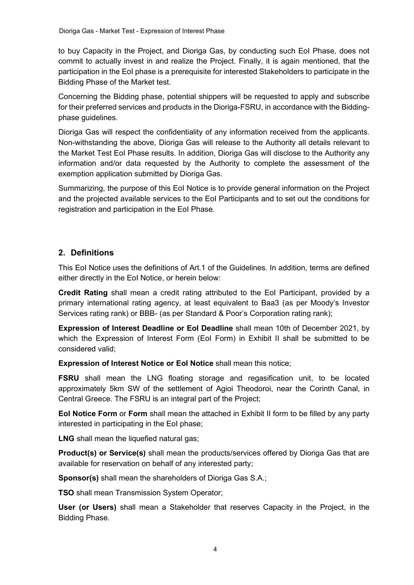to buy Capacity in the Project, and Dioriga Gas, by conducting such EoI Phase, does not commit to actually invest in and realize the Project. Finally, it is again mentioned, that the participation in the EoI phase is a prerequisite for interested Stakeholders to participate in the Bidding Phase of the Market test.

Concerning the Bidding phase, potential shippers will be requested to apply and subscribe for their preferred services and products in the Dioriga-FSRU, in accordance with the Biddingphase guidelines.

Dioriga Gas will respect the confidentiality of any information received from the applicants. Non-withstanding the above, Dioriga Gas will release to the Authority all details relevant to the Market Test EoI Phase results. In addition, Dioriga Gas will disclose to the Authority any information and/or data requested by the Authority to complete the assessment of the exemption application submitted by Dioriga Gas.

Summarizing, the purpose of this EoI Notice is to provide general information on the Project and the projected available services to the EoI Participants and to set out the conditions for registration and participation in the EoI Phase.

## <span id="page-3-0"></span>**2. Definitions**

This EoI Notice uses the definitions of Art.1 of the Guidelines. In addition, terms are defined either directly in the EoI Notice, or herein below:

**Credit Rating** shall mean a credit rating attributed to the EoI Participant, provided by a primary international rating agency, at least equivalent to Baa3 (as per Moody's Investor Services rating rank) or BBB- (as per Standard & Poor's Corporation rating rank);

**Expression of Interest Deadline or EoI Deadline** shall mean 10th of December 2021, by which the Expression of Interest Form (EoI Form) in Exhibit II shall be submitted to be considered valid;

**Expression of Interest Notice or EoI Notice** shall mean this notice;

**FSRU** shall mean the LNG floating storage and regasification unit, to be located approximately 5km SW of the settlement of Agioi Theodoroi, near the Corinth Canal, in Central Greece. The FSRU is an integral part of the Project;

**EoI Notice Form** or **Form** shall mean the attached in Exhibit II form to be filled by any party interested in participating in the EoI phase;

**LNG** shall mean the liquefied natural gas;

**Product(s) or Service(s)** shall mean the products/services offered by Dioriga Gas that are available for reservation on behalf of any interested party;

**Sponsor(s)** shall mean the shareholders of Dioriga Gas S.A.;

**TSO** shall mean Transmission System Operator;

**User (or Users)** shall mean a Stakeholder that reserves Capacity in the Project, in the Bidding Phase.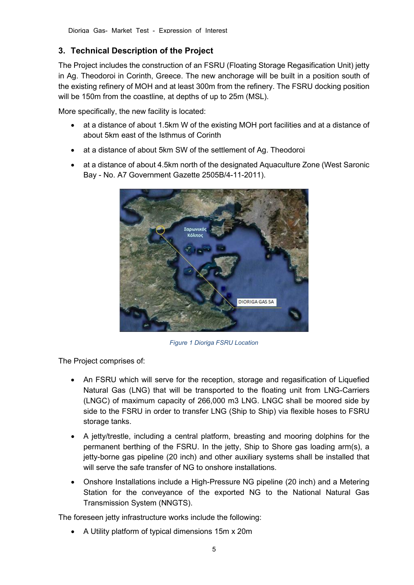## <span id="page-4-0"></span>**3. Technical Description of the Project**

The Project includes the construction of an FSRU (Floating Storage Regasification Unit) jetty in Ag. Theodoroi in Corinth, Greece. The new anchorage will be built in a position south of the existing refinery of MOH and at least 300m from the refinery. The FSRU docking position will be 150m from the coastline, at depths of up to 25m (MSL).

More specifically, the new facility is located:

- at a distance of about 1.5km W of the existing MOH port facilities and at a distance of about 5km east of the Isthmus of Corinth
- at a distance of about 5km SW of the settlement of Ag. Theodoroi
- at a distance of about 4.5km north of the designated Aquaculture Zone (West Saronic Bay - No. Α7 Government Gazette 2505Β/4-11-2011).



*Figure 1 Dioriga FSRU Location*

The Project comprises of:

- An FSRU which will serve for the reception, storage and regasification of Liquefied Natural Gas (LNG) that will be transported to the floating unit from LNG-Carriers (LNGC) of maximum capacity of 266,000 m3 LNG. LNGC shall be moored side by side to the FSRU in order to transfer LNG (Ship to Ship) via flexible hoses to FSRU storage tanks.
- A jetty/trestle, including a central platform, breasting and mooring dolphins for the permanent berthing of the FSRU. In the jetty, Ship to Shore gas loading arm(s), a jetty-borne gas pipeline (20 inch) and other auxiliary systems shall be installed that will serve the safe transfer of NG to onshore installations.
- Onshore Installations include a High-Pressure NG pipeline (20 inch) and a Metering Station for the conveyance of the exported NG to the National Natural Gas Transmission System (NNGTS).

The foreseen jetty infrastructure works include the following:

• A Utility platform of typical dimensions 15m x 20m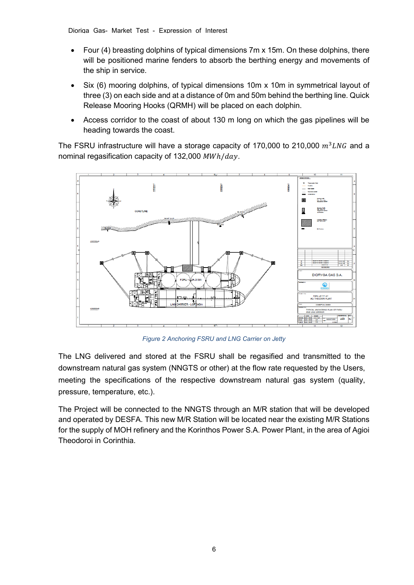- Four (4) breasting dolphins of typical dimensions 7m x 15m. On these dolphins, there will be positioned marine fenders to absorb the berthing energy and movements of the ship in service.
- Six (6) mooring dolphins, of typical dimensions 10m x 10m in symmetrical layout of three (3) on each side and at a distance of 0m and 50m behind the berthing line. Quick Release Mooring Hooks (QRMH) will be placed on each dolphin.
- Access corridor to the coast of about 130 m long on which the gas pipelines will be heading towards the coast.

The FSRU infrastructure will have a storage capacity of 170,000 to 210,000  $m^3 LNG$  and a nominal regasification capacity of  $132,000$   $MWh/day$ .



*Figure 2 Anchoring FSRU and LNG Carrier on Jetty*

The LNG delivered and stored at the FSRU shall be regasified and transmitted to the downstream natural gas system (NNGTS or other) at the flow rate requested by the Users, meeting the specifications of the respective downstream natural gas system (quality, pressure, temperature, etc.).

The Project will be connected to the NNGTS through an M/R station that will be developed and operated by DESFA. This new M/R Station will be located near the existing M/R Stations for the supply of MOH refinery and the Korinthos Power S.A. Power Plant, in the area of Agioi Theodoroi in Corinthia.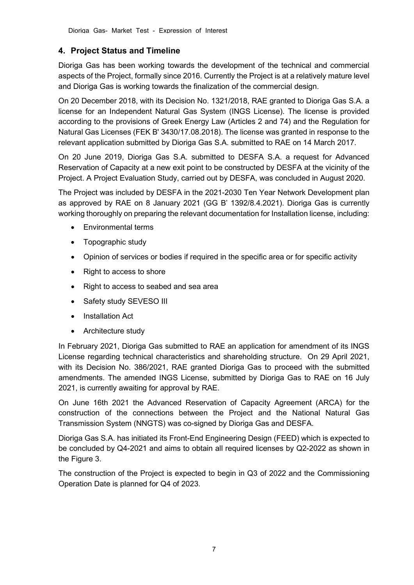## <span id="page-6-0"></span>**4. Project Status and Timeline**

Dioriga Gas has been working towards the development of the technical and commercial aspects of the Project, formally since 2016. Currently the Project is at a relatively mature level and Dioriga Gas is working towards the finalization of the commercial design.

On 20 December 2018, with its Decision No. 1321/2018, RAE granted to Dioriga Gas S.A. a license for an Independent Natural Gas System (INGS License). The license is provided according to the provisions of Greek Energy Law (Articles 2 and 74) and the Regulation for Natural Gas Licenses (FEK Β' 3430/17.08.2018). The license was granted in response to the relevant application submitted by Dioriga Gas S.A. submitted to RAE on 14 March 2017.

On 20 June 2019, Dioriga Gas S.A. submitted to DESFA S.A. a request for Advanced Reservation of Capacity at a new exit point to be constructed by DESFA at the vicinity of the Project. A Project Evaluation Study, carried out by DESFA, was concluded in August 2020.

The Project was included by DESFA in the 2021-2030 Ten Year Network Development plan as approved by RAE on 8 January 2021 (GG B' 1392/8.4.2021). Dioriga Gas is currently working thoroughly on preparing the relevant documentation for Installation license, including:

- Environmental terms
- Topographic study
- Opinion of services or bodies if required in the specific area or for specific activity
- Right to access to shore
- Right to access to seabed and sea area
- Safety study SEVESO III
- Installation Act
- Architecture study

In February 2021, Dioriga Gas submitted to RAE an application for amendment of its INGS License regarding technical characteristics and shareholding structure. On 29 April 2021, with its Decision No. 386/2021, RAE granted Dioriga Gas to proceed with the submitted amendments. The amended INGS License, submitted by Dioriga Gas to RAE on 16 July 2021, is currently awaiting for approval by RAE.

On June 16th 2021 the Advanced Reservation of Capacity Agreement (ARCA) for the construction of the connections between the Project and the National Natural Gas Transmission System (NNGTS) was co-signed by Dioriga Gas and DESFA.

Dioriga Gas S.A. has initiated its Front-End Engineering Design (FEED) which is expected to be concluded by Q4-2021 and aims to obtain all required licenses by Q2-2022 as shown in the Figure 3.

The construction of the Project is expected to begin in Q3 of 2022 and the Commissioning Operation Date is planned for Q4 of 2023.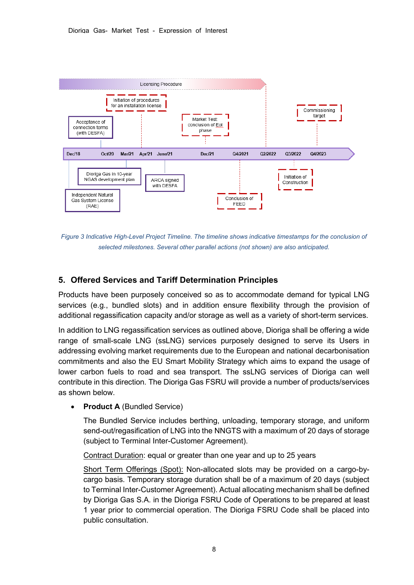

*Figure 3 Indicative High-Level Project Timeline. The timeline shows indicative timestamps for the conclusion of selected milestones. Several other parallel actions (not shown) are also anticipated.*

#### <span id="page-7-0"></span>**5. Offered Services and Tariff Determination Principles**

Products have been purposely conceived so as to accommodate demand for typical LNG services (e.g., bundled slots) and in addition ensure flexibility through the provision of additional regassification capacity and/or storage as well as a variety of short-term services.

In addition to LNG regassification services as outlined above, Dioriga shall be offering a wide range of small-scale LNG (ssLNG) services purposely designed to serve its Users in addressing evolving market requirements due to the European and national decarbonisation commitments and also the EU Smart Mobility Strategy which aims to expand the usage of lower carbon fuels to road and sea transport. The ssLNG services of Dioriga can well contribute in this direction. The Dioriga Gas FSRU will provide a number of products/services as shown below.

• **Product A** (Bundled Service)

The Bundled Service includes berthing, unloading, temporary storage, and uniform send-out/regasification of LNG into the NNGTS with a maximum of 20 days of storage (subject to Terminal Inter-Customer Agreement).

Contract Duration: equal or greater than one year and up to 25 years

Short Term Offerings (Spot): Non-allocated slots may be provided on a cargo-bycargo basis. Temporary storage duration shall be of a maximum of 20 days (subject to Terminal Inter-Customer Agreement). Actual allocating mechanism shall be defined by Dioriga Gas S.A. in the Dioriga FSRU Code of Operations to be prepared at least 1 year prior to commercial operation. The Dioriga FSRU Code shall be placed into public consultation.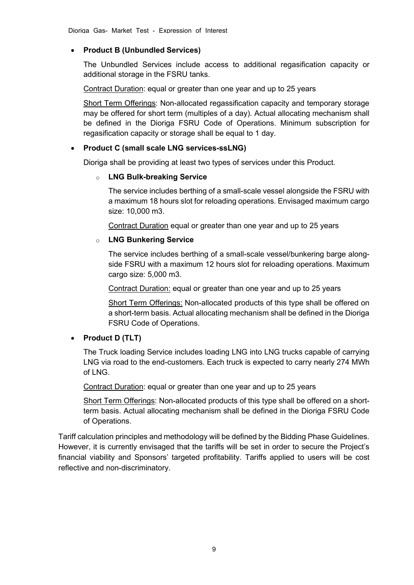#### • **Product B (Unbundled Services)**

The Unbundled Services include access to additional regasification capacity or additional storage in the FSRU tanks.

Contract Duration: equal or greater than one year and up to 25 years

Short Term Offerings: Non-allocated regassification capacity and temporary storage may be offered for short term (multiples of a day). Actual allocating mechanism shall be defined in the Dioriga FSRU Code of Operations. Minimum subscription for regasification capacity or storage shall be equal to 1 day.

#### • **Product C (small scale LNG services-ssLNG)**

Dioriga shall be providing at least two types of services under this Product.

#### o **LNG Bulk-breaking Service**

The service includes berthing of a small-scale vessel alongside the FSRU with a maximum 18 hours slot for reloading operations. Envisaged maximum cargo size: 10,000 m3.

Contract Duration equal or greater than one year and up to 25 years

#### o **LNG Bunkering Service**

The service includes berthing of a small-scale vessel/bunkering barge alongside FSRU with a maximum 12 hours slot for reloading operations. Maximum cargo size: 5,000 m3.

Contract Duration: equal or greater than one year and up to 25 years

Short Term Offerings: Non-allocated products of this type shall be offered on a short-term basis. Actual allocating mechanism shall be defined in the Dioriga FSRU Code of Operations.

#### • **Product D (TLT)**

The Truck loading Service includes loading LNG into LNG trucks capable of carrying LNG via road to the end-customers. Each truck is expected to carry nearly 274 MWh of LNG.

Contract Duration: equal or greater than one year and up to 25 years

Short Term Offerings: Non-allocated products of this type shall be offered on a shortterm basis. Actual allocating mechanism shall be defined in the Dioriga FSRU Code of Operations.

Tariff calculation principles and methodology will be defined by the Bidding Phase Guidelines. However, it is currently envisaged that the tariffs will be set in order to secure the Project's financial viability and Sponsors' targeted profitability. Tariffs applied to users will be cost reflective and non-discriminatory.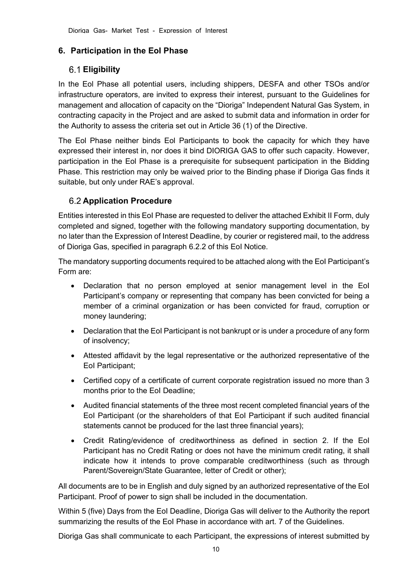## <span id="page-9-0"></span>**6. Participation in the EoI Phase**

## <span id="page-9-1"></span>**Eligibility**

In the Eol Phase all potential users, including shippers, DESFA and other TSOs and/or infrastructure operators, are invited to express their interest, pursuant to the Guidelines for management and allocation of capacity on the "Dioriga" Independent Natural Gas System, in contracting capacity in the Project and are asked to submit data and information in order for the Authority to assess the criteria set out in Article 36 (1) of the Directive.

The Eol Phase neither binds Eol Participants to book the capacity for which they have expressed their interest in, nor does it bind DIORIGA GAS to offer such capacity. However, participation in the Eol Phase is a prerequisite for subsequent participation in the Bidding Phase. This restriction may only be waived prior to the Binding phase if Dioriga Gas finds it suitable, but only under RAE's approval.

## <span id="page-9-2"></span>**Application Procedure**

Entities interested in this EoI Phase are requested to deliver the attached Exhibit II Form, duly completed and signed, together with the following mandatory supporting documentation, by no later than the Expression of Interest Deadline, by courier or registered mail, to the address of Dioriga Gas, specified in paragraph [6.2.2](#page-10-1) of this EoI Notice.

The mandatory supporting documents required to be attached along with the EoI Participant's Form are:

- Declaration that no person employed at senior management level in the EoI Participant's company or representing that company has been convicted for being a member of a criminal organization or has been convicted for fraud, corruption or money laundering;
- Declaration that the EoI Participant is not bankrupt or is under a procedure of any form of insolvency;
- Attested affidavit by the legal representative or the authorized representative of the EoI Participant;
- Certified copy of a certificate of current corporate registration issued no more than 3 months prior to the EoI Deadline;
- Audited financial statements of the three most recent completed financial years of the EoI Participant (or the shareholders of that EoI Participant if such audited financial statements cannot be produced for the last three financial years);
- Credit Rating/evidence of creditworthiness as defined in section [2.](#page-3-0) If the EoI Participant has no Credit Rating or does not have the minimum credit rating, it shall indicate how it intends to prove comparable creditworthiness (such as through Parent/Sovereign/State Guarantee, letter of Credit or other);

All documents are to be in English and duly signed by an authorized representative of the EoI Participant. Proof of power to sign shall be included in the documentation.

Within 5 (five) Days from the EoI Deadline, Dioriga Gas will deliver to the Authority the report summarizing the results of the EoI Phase in accordance with art. 7 of the Guidelines.

Dioriga Gas shall communicate to each Participant, the expressions of interest submitted by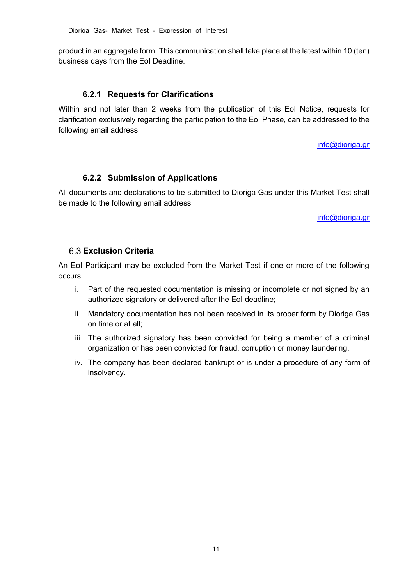product in an aggregate form. This communication shall take place at the latest within 10 (ten) business days from the EoI Deadline.

#### **6.2.1 Requests for Clarifications**

<span id="page-10-0"></span>Within and not later than 2 weeks from the publication of this EoI Notice, requests for clarification exclusively regarding the participation to the EoI Phase, can be addressed to the following email address:

[info@dioriga.gr](mailto:info@dioriga.gr) 

#### **6.2.2 Submission of Applications**

<span id="page-10-1"></span>All documents and declarations to be submitted to Dioriga Gas under this Market Test shall be made to the following email address:

[info@dioriga.gr](mailto:info@dioriga.gr)

#### <span id="page-10-2"></span>**Exclusion Criteria**

An EoI Participant may be excluded from the Market Test if one or more of the following occurs:

- i. Part of the requested documentation is missing or incomplete or not signed by an authorized signatory or delivered after the EoI deadline;
- ii. Mandatory documentation has not been received in its proper form by Dioriga Gas on time or at all;
- iii. The authorized signatory has been convicted for being a member of a criminal organization or has been convicted for fraud, corruption or money laundering.
- iv. The company has been declared bankrupt or is under a procedure of any form of insolvency.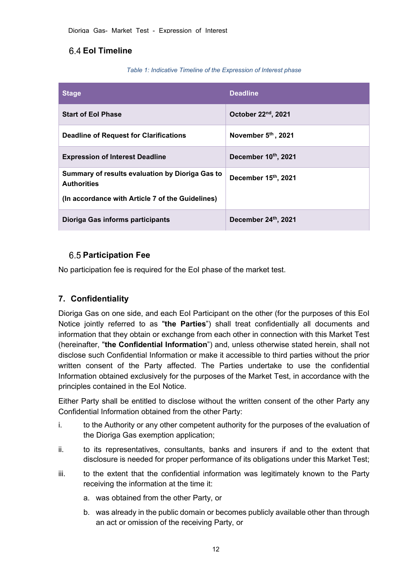## <span id="page-11-0"></span>**EoI Timeline**

#### *Table 1: Indicative Timeline of the Expression of Interest phase*

| <b>Stage</b>                                                          | <b>Deadline</b>                 |
|-----------------------------------------------------------------------|---------------------------------|
| <b>Start of Eol Phase</b>                                             | October 22 <sup>nd</sup> , 2021 |
| <b>Deadline of Request for Clarifications</b>                         | November 5th, 2021              |
| <b>Expression of Interest Deadline</b>                                | December 10th, 2021             |
| Summary of results evaluation by Dioriga Gas to<br><b>Authorities</b> | December 15th, 2021             |
| (In accordance with Article 7 of the Guidelines)                      |                                 |
| Dioriga Gas informs participants                                      | December 24th, 2021             |

## <span id="page-11-1"></span>**Participation Fee**

No participation fee is required for the EoI phase of the market test.

## <span id="page-11-2"></span>**7. Confidentiality**

Dioriga Gas on one side, and each EoI Participant on the other (for the purposes of this EoI Notice jointly referred to as "**the Parties**") shall treat confidentially all documents and information that they obtain or exchange from each other in connection with this Market Test (hereinafter, "**the Confidential Information**") and, unless otherwise stated herein, shall not disclose such Confidential Information or make it accessible to third parties without the prior written consent of the Party affected. The Parties undertake to use the confidential Information obtained exclusively for the purposes of the Market Test, in accordance with the principles contained in the EoI Notice.

Either Party shall be entitled to disclose without the written consent of the other Party any Confidential Information obtained from the other Party:

- i. to the Authority or any other competent authority for the purposes of the evaluation of the Dioriga Gas exemption application;
- ii. to its representatives, consultants, banks and insurers if and to the extent that disclosure is needed for proper performance of its obligations under this Market Test;
- iii. to the extent that the confidential information was legitimately known to the Party receiving the information at the time it:
	- a. was obtained from the other Party, or
	- b. was already in the public domain or becomes publicly available other than through an act or omission of the receiving Party, or